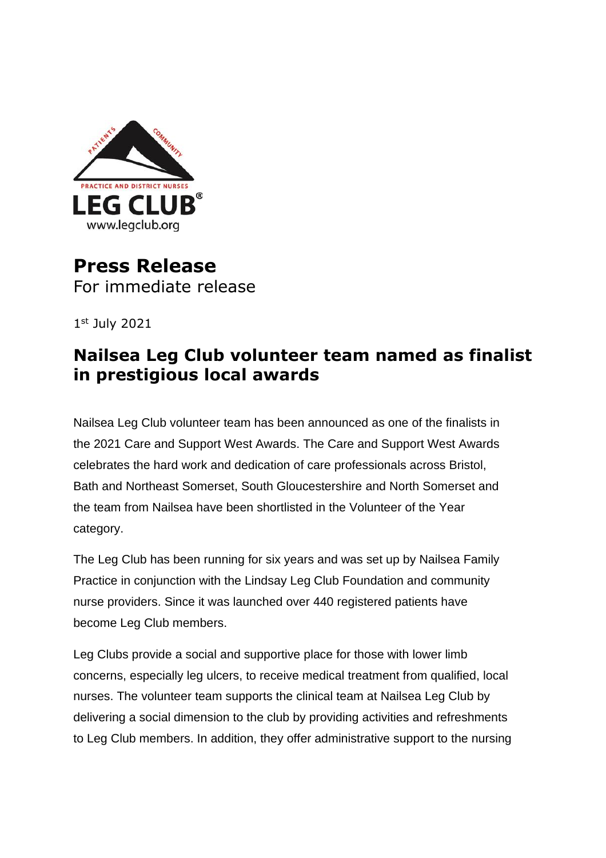

## **Press Release** For immediate release

1 st July 2021

## **Nailsea Leg Club volunteer team named as finalist in prestigious local awards**

Nailsea Leg Club volunteer team has been announced as one of the finalists in the 2021 Care and Support West Awards. The Care and Support West Awards celebrates the hard work and dedication of care professionals across Bristol, Bath and Northeast Somerset, South Gloucestershire and North Somerset and the team from Nailsea have been shortlisted in the Volunteer of the Year category.

The Leg Club has been running for six years and was set up by Nailsea Family Practice in conjunction with the Lindsay Leg Club Foundation and community nurse providers. Since it was launched over 440 registered patients have become Leg Club members.

Leg Clubs provide a social and supportive place for those with lower limb concerns, especially leg ulcers, to receive medical treatment from qualified, local nurses. The volunteer team supports the clinical team at Nailsea Leg Club by delivering a social dimension to the club by providing activities and refreshments to Leg Club members. In addition, they offer administrative support to the nursing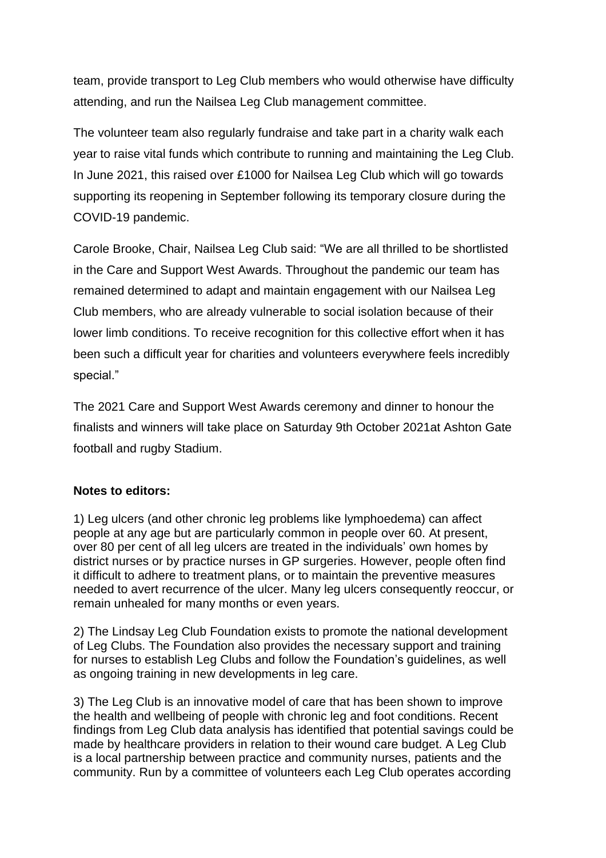team, provide transport to Leg Club members who would otherwise have difficulty attending, and run the Nailsea Leg Club management committee.

The volunteer team also regularly fundraise and take part in a charity walk each year to raise vital funds which contribute to running and maintaining the Leg Club. In June 2021, this raised over £1000 for Nailsea Leg Club which will go towards supporting its reopening in September following its temporary closure during the COVID-19 pandemic.

Carole Brooke, Chair, Nailsea Leg Club said: "We are all thrilled to be shortlisted in the Care and Support West Awards. Throughout the pandemic our team has remained determined to adapt and maintain engagement with our Nailsea Leg Club members, who are already vulnerable to social isolation because of their lower limb conditions. To receive recognition for this collective effort when it has been such a difficult year for charities and volunteers everywhere feels incredibly special."

The 2021 Care and Support West Awards ceremony and dinner to honour the finalists and winners will take place on Saturday 9th October 2021at Ashton Gate football and rugby Stadium.

## **Notes to editors:**

1) Leg ulcers (and other chronic leg problems like lymphoedema) can affect people at any age but are particularly common in people over 60. At present, over 80 per cent of all leg ulcers are treated in the individuals' own homes by district nurses or by practice nurses in GP surgeries. However, people often find it difficult to adhere to treatment plans, or to maintain the preventive measures needed to avert recurrence of the ulcer. Many leg ulcers consequently reoccur, or remain unhealed for many months or even years.

2) The Lindsay Leg Club Foundation exists to promote the national development of Leg Clubs. The Foundation also provides the necessary support and training for nurses to establish Leg Clubs and follow the Foundation's guidelines, as well as ongoing training in new developments in leg care.

3) The Leg Club is an innovative model of care that has been shown to improve the health and wellbeing of people with chronic leg and foot conditions. Recent findings from Leg Club data analysis has identified that potential savings could be made by healthcare providers in relation to their wound care budget. A Leg Club is a local partnership between practice and community nurses, patients and the community. Run by a committee of volunteers each Leg Club operates according